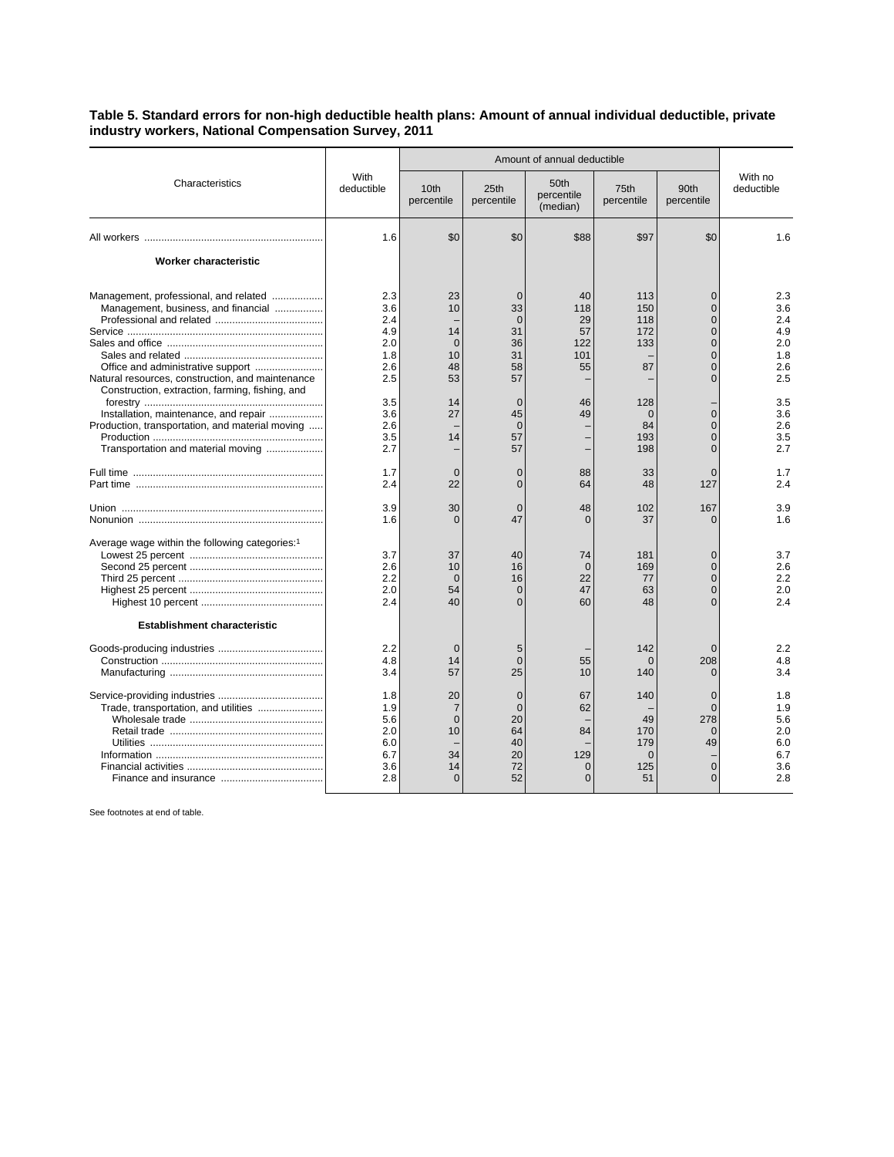## **Table 5. Standard errors for non-high deductible health plans: Amount of annual individual deductible, private industry workers, National Compensation Survey, 2011**

|                                                                                                                                | With<br>deductible                                   | Amount of annual deductible                           |                                                                |                                               |                                                  |                                                                                                          |                                                      |
|--------------------------------------------------------------------------------------------------------------------------------|------------------------------------------------------|-------------------------------------------------------|----------------------------------------------------------------|-----------------------------------------------|--------------------------------------------------|----------------------------------------------------------------------------------------------------------|------------------------------------------------------|
| Characteristics                                                                                                                |                                                      | 10th<br>percentile                                    | 25th<br>percentile                                             | 50th<br>percentile<br>(median)                | 75th<br>percentile                               | 90th<br>percentile                                                                                       | With no<br>deductible                                |
|                                                                                                                                | 1.6                                                  | \$0                                                   | \$0                                                            | \$88                                          | \$97                                             | \$0                                                                                                      | 1.6                                                  |
| Worker characteristic                                                                                                          |                                                      |                                                       |                                                                |                                               |                                                  |                                                                                                          |                                                      |
| Management, professional, and related<br>Management, business, and financial                                                   | 2.3<br>3.6<br>2.4<br>4.9<br>2.0<br>1.8<br>2.6        | 23<br>10<br>14<br>$\Omega$<br>10<br>48                | $\Omega$<br>33<br>$\Omega$<br>31<br>36<br>31<br>58             | 40<br>118<br>29<br>57<br>122<br>101<br>55     | 113<br>150<br>118<br>172<br>133<br>87            | $\Omega$<br>$\overline{0}$<br>$\overline{0}$<br>$\Omega$<br>$\Omega$<br>$\overline{0}$<br>$\overline{0}$ | 2.3<br>3.6<br>2.4<br>4.9<br>2.0<br>1.8<br>2.6        |
| Natural resources, construction, and maintenance<br>Construction, extraction, farming, fishing, and                            | 2.5                                                  | 53                                                    | 57                                                             |                                               |                                                  | $\Omega$                                                                                                 | 2.5                                                  |
| Installation, maintenance, and repair<br>Production, transportation, and material moving<br>Transportation and material moving | 3.5<br>3.6<br>2.6<br>3.5<br>2.7                      | 14<br>27<br>14                                        | $\Omega$<br>45<br>$\Omega$<br>57<br>57                         | 46<br>49                                      | 128<br>$\mathbf{0}$<br>84<br>193<br>198          | $\overline{0}$<br>$\Omega$<br>$\overline{0}$<br>$\overline{0}$                                           | 3.5<br>3.6<br>2.6<br>3.5<br>2.7                      |
|                                                                                                                                | 1.7<br>2.4                                           | $\overline{0}$<br>22                                  | $\overline{0}$<br>$\Omega$                                     | 88<br>64                                      | 33<br>48                                         | $\Omega$<br>127                                                                                          | 1.7<br>2.4                                           |
|                                                                                                                                | 3.9<br>1.6                                           | 30<br>$\Omega$                                        | $\Omega$<br>47                                                 | 48<br>∩                                       | 102<br>37                                        | 167<br>$\Omega$                                                                                          | 3.9<br>1.6                                           |
| Average wage within the following categories:1                                                                                 | 3.7<br>2.6<br>2.2<br>2.0<br>2.4                      | 37<br>10<br>$\Omega$<br>54<br>40                      | 40<br>16<br>16<br>$\overline{0}$<br>$\Omega$                   | 74<br>$\Omega$<br>22<br>47<br>60              | 181<br>169<br>77<br>63<br>48                     | $\Omega$<br>$\Omega$<br>$\overline{0}$<br>$\overline{0}$<br>$\Omega$                                     | 3.7<br>2.6<br>2.2<br>2.0<br>2.4                      |
| Establishment characteristic                                                                                                   |                                                      |                                                       |                                                                |                                               |                                                  |                                                                                                          |                                                      |
|                                                                                                                                | 2.2<br>4.8<br>3.4                                    | $\Omega$<br>14<br>57                                  | 5<br>$\Omega$<br>25                                            | 55<br>10                                      | 142<br>$\Omega$<br>140                           | $\Omega$<br>208<br>$\Omega$                                                                              | 2.2<br>4.8<br>3.4                                    |
|                                                                                                                                | 1.8<br>1.9<br>5.6<br>2.0<br>6.0<br>6.7<br>3.6<br>2.8 | 20<br>7<br>$\mathbf{0}$<br>10<br>34<br>14<br>$\Omega$ | $\overline{0}$<br>$\Omega$<br>20<br>64<br>40<br>20<br>72<br>52 | 67<br>62<br>84<br>129<br>$\Omega$<br>$\Omega$ | 140<br>49<br>170<br>179<br>$\Omega$<br>125<br>51 | $\overline{0}$<br>$\Omega$<br>278<br>$\mathbf 0$<br>49<br>$\overline{0}$<br>$\Omega$                     | 1.8<br>1.9<br>5.6<br>2.0<br>6.0<br>6.7<br>3.6<br>2.8 |

See footnotes at end of table.